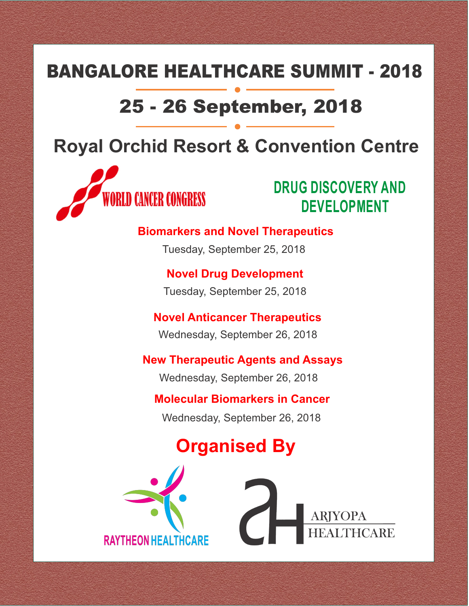### BANGALORE HEALTHCARE SUMMIT - 2018

### 25 - 26 September, 2018

#### **Royal Orchid Resort & Convention Centre**



#### **DRUG DISCOVERY AND DEVELOPMENT**

#### **Biomarkers and Novel Therapeutics**

Tuesday, September 25, 2018

**Novel Drug Development** Tuesday, September 25, 2018

**Novel Anticancer Therapeutics**  Wednesday, September 26, 2018

#### **New Therapeutic Agents and Assays**

Wednesday, September 26, 2018

#### **Molecular Biomarkers in Cancer**

Wednesday, September 26, 2018

### **Organised By**

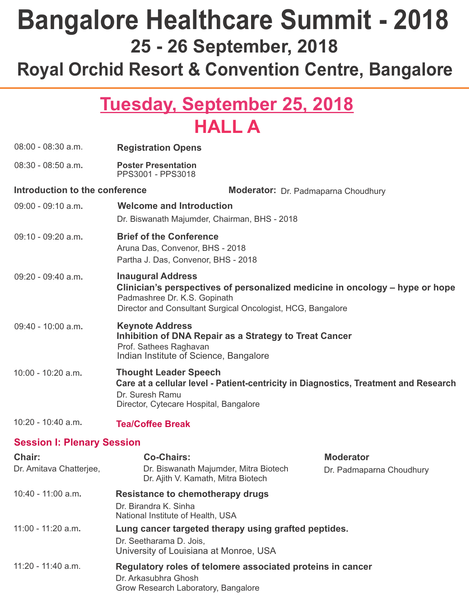# **Bangalore Healthcare Summit - 2018**

**25 - 26 September, 2018**

**Royal Orchid Resort & Convention Centre, Bangalore**

### **Tuesday, September 25, 2018 HALL A**

| 08:00 - 08:30 a.m.                | <b>Registration Opens</b>                                                                                                                                                                               |                                     |                                              |
|-----------------------------------|---------------------------------------------------------------------------------------------------------------------------------------------------------------------------------------------------------|-------------------------------------|----------------------------------------------|
| $08:30 - 08:50$ a.m.              | <b>Poster Presentation</b><br>PPS3001 - PPS3018                                                                                                                                                         |                                     |                                              |
| Introduction to the conference    |                                                                                                                                                                                                         | Moderator: Dr. Padmaparna Choudhury |                                              |
| 09:00 - 09:10 a.m.                | <b>Welcome and Introduction</b><br>Dr. Biswanath Majumder, Chairman, BHS - 2018                                                                                                                         |                                     |                                              |
| 09:10 - 09:20 a.m.                | <b>Brief of the Conference</b><br>Aruna Das, Convenor, BHS - 2018<br>Partha J. Das, Convenor, BHS - 2018                                                                                                |                                     |                                              |
| 09:20 - 09:40 a.m.                | <b>Inaugural Address</b><br>Clinician's perspectives of personalized medicine in oncology - hype or hope<br>Padmashree Dr. K.S. Gopinath<br>Director and Consultant Surgical Oncologist, HCG, Bangalore |                                     |                                              |
| 09:40 - 10:00 a.m.                | <b>Keynote Address</b><br>Inhibition of DNA Repair as a Strategy to Treat Cancer<br>Prof. Sathees Raghavan<br>Indian Institute of Science, Bangalore                                                    |                                     |                                              |
| 10:00 - 10:20 a.m.                | <b>Thought Leader Speech</b><br>Care at a cellular level - Patient-centricity in Diagnostics, Treatment and Research<br>Dr. Suresh Ramu<br>Director, Cytecare Hospital, Bangalore                       |                                     |                                              |
| 10:20 - 10:40 a.m.                | <b>Tea/Coffee Break</b>                                                                                                                                                                                 |                                     |                                              |
| <b>Session I: Plenary Session</b> |                                                                                                                                                                                                         |                                     |                                              |
| Chair:<br>Dr. Amitava Chatterjee, | <b>Co-Chairs:</b><br>Dr. Biswanath Majumder, Mitra Biotech<br>Dr. Ajith V. Kamath, Mitra Biotech                                                                                                        |                                     | <b>Moderator</b><br>Dr. Padmaparna Choudhury |
| 10:40 - 11:00 a.m.                | Resistance to chemotherapy drugs<br>Dr. Birandra K. Sinha<br>National Institute of Health, USA                                                                                                          |                                     |                                              |

- 11:00 11:20 a.m**. Lung cancer targeted therapy using grafted peptides.** Dr. Seetharama D. Jois, University of Louisiana at Monroe, USA
- 11:20 11:40 a.m. **Regulatory roles of telomere associated proteins in cancer** Dr. Arkasubhra Ghosh Grow Research Laboratory, Bangalore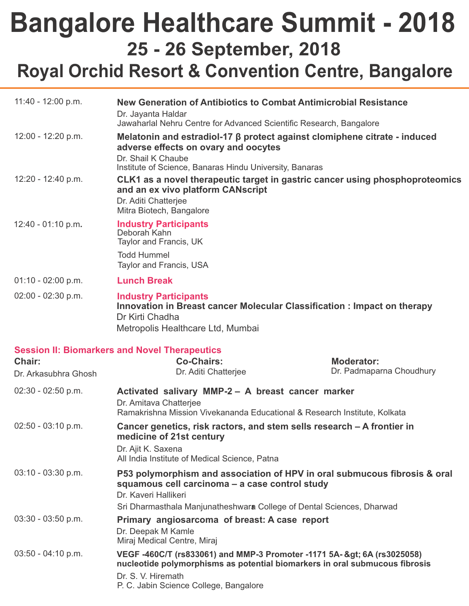#### **Royal Orchid Resort & Convention Centre, Bangalore**

| $11:40 - 12:00 p.m.$ | New Generation of Antibiotics to Combat Antimicrobial Resistance<br>Dr. Jayanta Haldar<br>Jawaharlal Nehru Centre for Advanced Scientific Research, Bangalore                                            |
|----------------------|----------------------------------------------------------------------------------------------------------------------------------------------------------------------------------------------------------|
| $12:00 - 12:20 p.m.$ | Melatonin and estradiol-17 $\beta$ protect against clomiphene citrate - induced<br>adverse effects on ovary and oocytes<br>Dr. Shail K Chaube<br>Institute of Science, Banaras Hindu University, Banaras |
| 12:20 - 12:40 p.m.   | CLK1 as a novel therapeutic target in gastric cancer using phosphoproteomics<br>and an ex vivo platform CANscript<br>Dr. Aditi Chatterjee<br>Mitra Biotech, Bangalore                                    |
| 12:40 - 01:10 p.m.   | <b>Industry Participants</b><br>Deborah Kahn<br>Taylor and Francis, UK<br><b>Todd Hummel</b><br>Taylor and Francis, USA                                                                                  |
| $01:10 - 02:00 p.m.$ | <b>Lunch Break</b>                                                                                                                                                                                       |
| $02:00 - 02:30 p.m.$ | <b>Industry Participants</b><br>Innovation in Breast cancer Molecular Classification : Impact on therapy<br>Dr Kirti Chadha<br>Metropolis Healthcare Ltd, Mumbai                                         |
|                      | <b>Session II: Biomarkers and Novel Therapeutics</b>                                                                                                                                                     |

| <b>Chair:</b><br>Dr. Arkasubhra Ghosh | <b>Co-Chairs:</b><br>Dr. Aditi Chatterjee                                                                                                                                                                                    | <b>Moderator:</b><br>Dr. Padmaparna Choudhury |
|---------------------------------------|------------------------------------------------------------------------------------------------------------------------------------------------------------------------------------------------------------------------------|-----------------------------------------------|
| $02:30 - 02:50 p.m.$                  | Activated salivary MMP-2 - A breast cancer marker<br>Dr. Amitava Chatterjee<br>Ramakrishna Mission Vivekananda Educational & Research Institute, Kolkata                                                                     |                                               |
| $02:50 - 03:10 p.m.$                  | Cancer genetics, risk ractors, and stem sells research – A frontier in<br>medicine of 21st century<br>Dr. Ajit K. Saxena<br>All India Institute of Medical Science, Patna                                                    |                                               |
| $03:10 - 03:30$ p.m.                  | P53 polymorphism and association of HPV in oral submucous fibrosis & oral<br>squamous cell carcinoma – a case control study<br>Dr. Kaveri Hallikeri<br>Sri Dharmasthala Manjunatheshwara College of Dental Sciences, Dharwad |                                               |
| $03:30 - 03:50$ p.m.                  | Primary angiosarcoma of breast: A case report<br>Dr. Deepak M Kamle<br>Miraj Medical Centre, Miraj                                                                                                                           |                                               |
| $03:50 - 04:10 p.m.$                  | VEGF-460C/T (rs833061) and MMP-3 Promoter -1171 5A- > 6A (rs3025058)<br>nucleotide polymorphisms as potential biomarkers in oral submucous fibrosis<br>Dr. S. V. Hiremath<br>P. C. Jabin Science College, Bangalore          |                                               |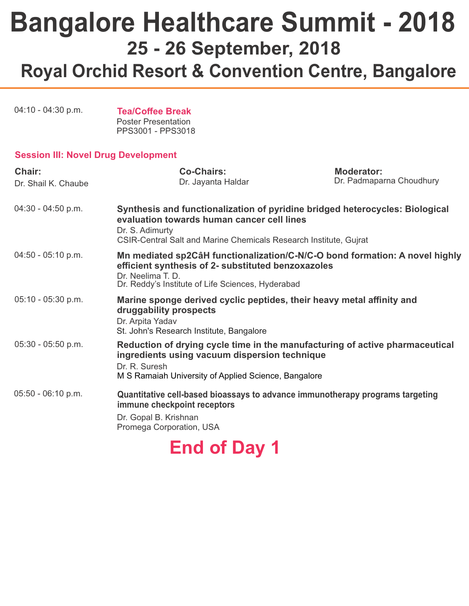**Royal Orchid Resort & Convention Centre, Bangalore**

| $04:10 - 04:30$ p.m. | <b>Tea/Coffee Break</b>    |
|----------------------|----------------------------|
|                      | <b>Poster Presentation</b> |
|                      | PPS3001 - PPS3018          |

#### **Session III: Novel Drug Development**

| Chair:<br>Dr. Shail K. Chaube | <b>Co-Chairs:</b><br>Dr. Jayanta Haldar                                                                                                                                                                            | <b>Moderator:</b><br>Dr. Padmaparna Choudhury                                |
|-------------------------------|--------------------------------------------------------------------------------------------------------------------------------------------------------------------------------------------------------------------|------------------------------------------------------------------------------|
| $04:30 - 04:50 p.m.$          | Synthesis and functionalization of pyridine bridged heterocycles: Biological<br>evaluation towards human cancer cell lines<br>Dr. S. Adimurty<br>CSIR-Central Salt and Marine Chemicals Research Institute, Guirat |                                                                              |
| $04:50 - 05:10 p.m.$          | efficient synthesis of 2- substituted benzoxazoles<br>Dr. Neelima T. D.<br>Dr. Reddy's Institute of Life Sciences, Hyderabad                                                                                       | Mn mediated sp2CaH functionalization/C-N/C-O bond formation: A novel highly  |
| $05:10 - 05:30$ p.m.          | Marine sponge derived cyclic peptides, their heavy metal affinity and<br>druggability prospects<br>Dr. Arpita Yadav<br>St. John's Research Institute, Bangalore                                                    |                                                                              |
| $05:30 - 05:50 p.m.$          | ingredients using vacuum dispersion technique<br>Dr. R. Suresh<br>M S Ramaiah University of Applied Science, Bangalore                                                                                             | Reduction of drying cycle time in the manufacturing of active pharmaceutical |
| $05:50 - 06:10 p.m.$          | Quantitative cell-based bioassays to advance immunotherapy programs targeting<br>immune checkpoint receptors<br>Dr. Gopal B. Krishnan<br>Promega Corporation, USA                                                  |                                                                              |

**End of Day 1**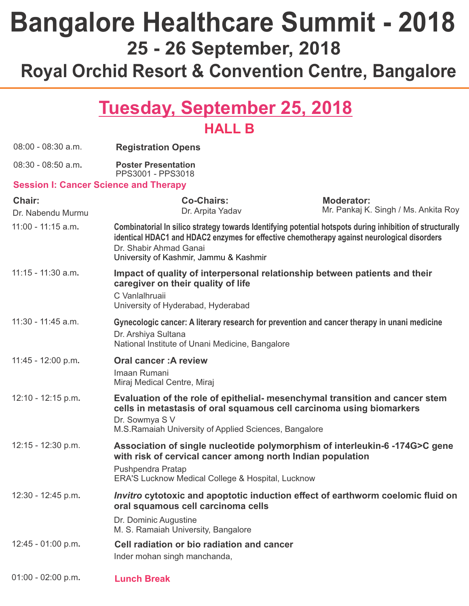**Royal Orchid Resort & Convention Centre, Bangalore**

#### **Tuesday, September 25, 2018 HALL B**

| $08:00 - 08:30$ a.m.                         | <b>Registration Opens</b>                                                                                                                                                                                                                                                    |                                                           |
|----------------------------------------------|------------------------------------------------------------------------------------------------------------------------------------------------------------------------------------------------------------------------------------------------------------------------------|-----------------------------------------------------------|
| $08:30 - 08:50$ a.m.                         | <b>Poster Presentation</b><br>PPS3001 - PPS3018                                                                                                                                                                                                                              |                                                           |
| <b>Session I: Cancer Science and Therapy</b> |                                                                                                                                                                                                                                                                              |                                                           |
| Chair:<br>Dr. Nabendu Murmu                  | <b>Co-Chairs:</b><br>Dr. Arpita Yadav                                                                                                                                                                                                                                        | <b>Moderator:</b><br>Mr. Pankaj K. Singh / Ms. Ankita Roy |
| $11:00 - 11:15$ a.m.                         | Combinatorial In silico strategy towards Identifying potential hotspots during inhibition of structurally<br>identical HDAC1 and HDAC2 enzymes for effective chemotherapy against neurological disorders<br>Dr. Shabir Ahmad Ganai<br>University of Kashmir, Jammu & Kashmir |                                                           |
| $11:15 - 11:30$ a.m.                         | Impact of quality of interpersonal relationship between patients and their<br>caregiver on their quality of life<br>C Vanlalhruaii<br>University of Hyderabad, Hyderabad                                                                                                     |                                                           |
| 11:30 - 11:45 a.m.                           | Gynecologic cancer: A literary research for prevention and cancer therapy in unani medicine<br>Dr. Arshiya Sultana<br>National Institute of Unani Medicine, Bangalore                                                                                                        |                                                           |
| $11:45 - 12:00 p.m.$                         | <b>Oral cancer: A review</b><br>Imaan Rumani<br>Miraj Medical Centre, Miraj                                                                                                                                                                                                  |                                                           |
| $12:10 - 12:15 p.m.$                         | Evaluation of the role of epithelial- mesenchymal transition and cancer stem<br>cells in metastasis of oral squamous cell carcinoma using biomarkers<br>Dr. Sowmya S V<br>M.S. Ramaiah University of Applied Sciences, Bangalore                                             |                                                           |
| 12:15 - 12:30 p.m.                           | Association of single nucleotide polymorphism of interleukin-6 -174G>C gene<br>with risk of cervical cancer among north Indian population<br>Pushpendra Pratap<br>ERA'S Lucknow Medical College & Hospital, Lucknow                                                          |                                                           |
| 12:30 - 12:45 p.m.                           | Invitro cytotoxic and apoptotic induction effect of earthworm coelomic fluid on<br>oral squamous cell carcinoma cells<br>Dr. Dominic Augustine<br>M. S. Ramaiah University, Bangalore                                                                                        |                                                           |
| $12:45 - 01:00 p.m.$                         | Cell radiation or bio radiation and cancer<br>Inder mohan singh manchanda,                                                                                                                                                                                                   |                                                           |
| $01:00 - 02:00 p.m.$                         | <b>Lunch Break</b>                                                                                                                                                                                                                                                           |                                                           |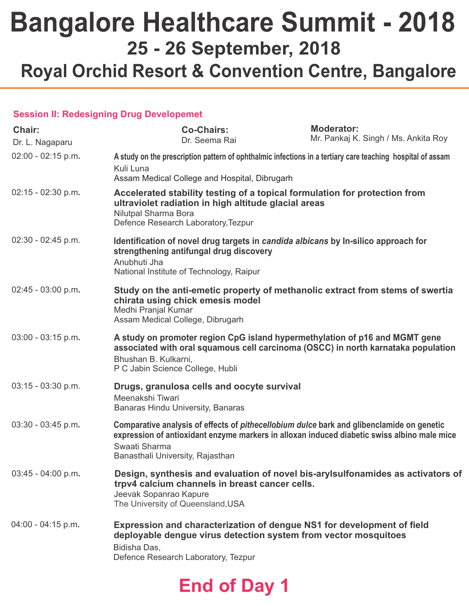**Royal Orchid Resort & Convention Centre, Bangalore**

#### **Session II: Redesigning Drug Developemet**

| Chair:<br>Dr. L. Nagaparu | <b>Co-Chairs:</b><br>Dr. Seema Rai                                                                                                                                                                                                            | <b>Moderator:</b><br>Mr. Pankaj K. Singh / Ms. Ankita Roy |
|---------------------------|-----------------------------------------------------------------------------------------------------------------------------------------------------------------------------------------------------------------------------------------------|-----------------------------------------------------------|
| $02:00 - 02:15 p.m.$      | A study on the prescription pattern of ophthalmic infections in a tertiary care teaching hospital of assam<br>Kuli Luna<br>Assam Medical College and Hospital, Dibrugarh                                                                      |                                                           |
| 02:15 - 02:30 p.m.        | Accelerated stability testing of a topical formulation for protection from<br>ultraviolet radiation in high altitude glacial areas<br>Nilutpal Sharma Bora<br>Defence Research Laboratory, Tezpur                                             |                                                           |
| $02:30 - 02:45 p.m.$      | Identification of novel drug targets in candida albicans by In-silico approach for<br>strengthening antifungal drug discovery<br>Anubhuti Jha<br>National Institute of Technology, Raipur                                                     |                                                           |
| $02:45 - 03:00 p.m.$      | Study on the anti-emetic property of methanolic extract from stems of swertia<br>chirata using chick emesis model<br>Medhi Pranjal Kumar<br>Assam Medical College, Dibrugarh                                                                  |                                                           |
| $03:00 - 03:15 p.m.$      | A study on promoter region CpG island hypermethylation of p16 and MGMT gene<br>associated with oral squamous cell carcinoma (OSCC) in north karnataka population<br>Bhushan B. Kulkarni,<br>P C Jabin Science College, Hubli                  |                                                           |
| $03:15 - 03:30$ p.m.      | Drugs, granulosa cells and oocyte survival<br>Meenakshi Tiwari<br>Banaras Hindu University, Banaras                                                                                                                                           |                                                           |
| $03:30 - 03:45 p.m.$      | Comparative analysis of effects of pithecellobium dulce bark and glibenclamide on genetic<br>expression of antioxidant enzyme markers in alloxan induced diabetic swiss albino male mice<br>Swaati Sharma<br>Banasthali University, Rajasthan |                                                           |
| $03:45 - 04:00 p.m.$      | Design, synthesis and evaluation of novel bis-arylsulfonamides as activators of<br>trpv4 calcium channels in breast cancer cells.<br>Jeevak Sopanrao Kapure<br>The University of Queensland, USA                                              |                                                           |
| $04:00 - 04:15$ p.m.      | Expression and characterization of dengue NS1 for development of field<br>deployable dengue virus detection system from vector mosquitoes<br>Bidisha Das,<br>Defence Research Laboratory, Tezpur                                              |                                                           |

#### **End of Day 1**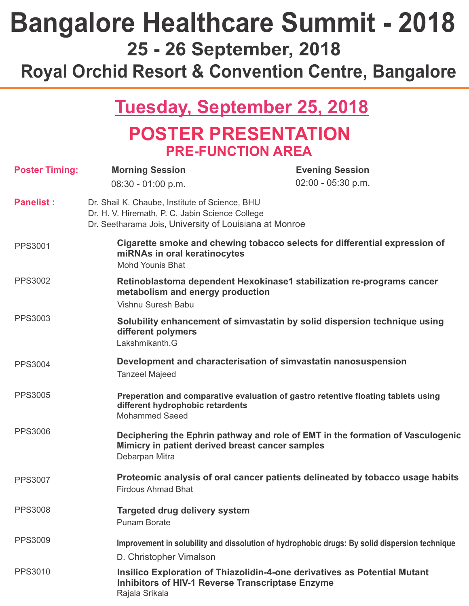**Royal Orchid Resort & Convention Centre, Bangalore**

### **Tuesday, September 25, 2018**

#### **POSTER PRESENTATION PRE-FUNCTION AREA**

| <b>Poster Timing:</b> | <b>Morning Session</b><br>$08:30 - 01:00 p.m.$                                                                                                              | <b>Evening Session</b><br>02:00 - 05:30 p.m.                                                                          |  |
|-----------------------|-------------------------------------------------------------------------------------------------------------------------------------------------------------|-----------------------------------------------------------------------------------------------------------------------|--|
| <b>Panelist:</b>      | Dr. Shail K. Chaube, Institute of Science, BHU<br>Dr. H. V. Hiremath, P. C. Jabin Science College<br>Dr. Seetharama Jois, University of Louisiana at Monroe |                                                                                                                       |  |
| <b>PPS3001</b>        | Mohd Younis Bhat                                                                                                                                            | Cigarette smoke and chewing tobacco selects for differential expression of<br>miRNAs in oral keratinocytes            |  |
| <b>PPS3002</b>        | metabolism and energy production<br>Vishnu Suresh Babu                                                                                                      | Retinoblastoma dependent Hexokinase1 stabilization re-programs cancer                                                 |  |
| PPS3003               | different polymers<br>Lakshmikanth.G                                                                                                                        | Solubility enhancement of simvastatin by solid dispersion technique using                                             |  |
| <b>PPS3004</b>        | <b>Tanzeel Majeed</b>                                                                                                                                       | Development and characterisation of simvastatin nanosuspension                                                        |  |
| <b>PPS3005</b>        | <b>Mohammed Saeed</b>                                                                                                                                       | Preperation and comparative evaluation of gastro retentive floating tablets using<br>different hydrophobic retardents |  |
| <b>PPS3006</b>        | Mimicry in patient derived breast cancer samples<br>Debarpan Mitra                                                                                          | Deciphering the Ephrin pathway and role of EMT in the formation of Vasculogenic                                       |  |
| <b>PPS3007</b>        | <b>Firdous Ahmad Bhat</b>                                                                                                                                   | Proteomic analysis of oral cancer patients delineated by tobacco usage habits                                         |  |
| <b>PPS3008</b>        | <b>Targeted drug delivery system</b><br><b>Punam Borate</b>                                                                                                 |                                                                                                                       |  |
| <b>PPS3009</b>        | D. Christopher Vimalson                                                                                                                                     | Improvement in solubility and dissolution of hydrophobic drugs: By solid dispersion technique                         |  |
| PPS3010               | <b>Inhibitors of HIV-1 Reverse Transcriptase Enzyme</b><br>Rajala Srikala                                                                                   | Insilico Exploration of Thiazolidin-4-one derivatives as Potential Mutant                                             |  |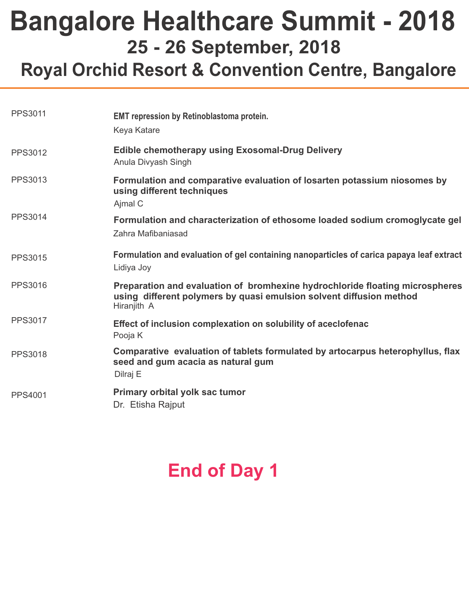#### **Royal Orchid Resort & Convention Centre, Bangalore**

| <b>PPS3011</b> | <b>EMT repression by Retinoblastoma protein.</b><br>Keya Katare                                                                                                    |
|----------------|--------------------------------------------------------------------------------------------------------------------------------------------------------------------|
| <b>PPS3012</b> | <b>Edible chemotherapy using Exosomal-Drug Delivery</b><br>Anula Divyash Singh                                                                                     |
| PPS3013        | Formulation and comparative evaluation of losarten potassium niosomes by<br>using different techniques<br>Ajmal C                                                  |
| PPS3014        | Formulation and characterization of ethosome loaded sodium cromoglycate gel<br>Zahra Mafibaniasad                                                                  |
| <b>PPS3015</b> | Formulation and evaluation of gel containing nanoparticles of carica papaya leaf extract<br>Lidiya Joy                                                             |
| PPS3016        | Preparation and evaluation of bromhexine hydrochloride floating microspheres<br>using different polymers by quasi emulsion solvent diffusion method<br>Hiranjith A |
| <b>PPS3017</b> | Effect of inclusion complexation on solubility of aceclofenac<br>Pooja K                                                                                           |
| PPS3018        | Comparative evaluation of tablets formulated by artocarpus heterophyllus, flax<br>seed and gum acacia as natural gum<br>Dilraj E                                   |
| <b>PPS4001</b> | Primary orbital yolk sac tumor<br>Dr. Etisha Rajput                                                                                                                |

### **End of Day 1**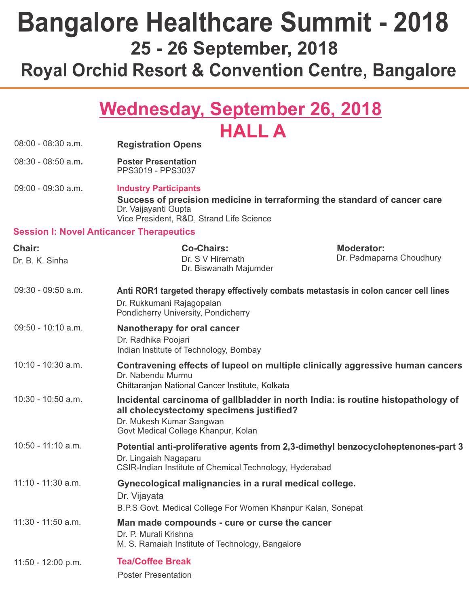**Royal Orchid Resort & Convention Centre, Bangalore**

|                           | <u>Wednesday, September 26, 2018</u>                                                                                                                                          |                                                                                   |
|---------------------------|-------------------------------------------------------------------------------------------------------------------------------------------------------------------------------|-----------------------------------------------------------------------------------|
|                           | <b>HALL A</b>                                                                                                                                                                 |                                                                                   |
| $08:00 - 08:30$ a.m.      | <b>Registration Opens</b>                                                                                                                                                     |                                                                                   |
| $08:30 - 08:50$ a.m.      | <b>Poster Presentation</b><br>PPS3019 - PPS3037                                                                                                                               |                                                                                   |
| $09:00 - 09:30$ a.m.      | <b>Industry Participants</b><br>Success of precision medicine in terraforming the standard of cancer care<br>Dr. Vaijayanti Gupta<br>Vice President, R&D, Strand Life Science |                                                                                   |
|                           | <b>Session I: Novel Anticancer Therapeutics</b>                                                                                                                               |                                                                                   |
| Chair:<br>Dr. B. K. Sinha | <b>Co-Chairs:</b><br>Dr. S V Hiremath<br>Dr. Biswanath Majumder                                                                                                               | <b>Moderator:</b><br>Dr. Padmaparna Choudhury                                     |
| 09:30 - 09:50 a.m.        | Anti ROR1 targeted therapy effectively combats metastasis in colon cancer cell lines<br>Dr. Rukkumani Rajagopalan<br>Pondicherry University, Pondicherry                      |                                                                                   |
| $09:50 - 10:10$ a.m.      | Nanotherapy for oral cancer<br>Dr. Radhika Poojari<br>Indian Institute of Technology, Bombay                                                                                  |                                                                                   |
| 10:10 - 10:30 a.m.        | Dr. Nabendu Murmu<br>Chittaranjan National Cancer Institute, Kolkata                                                                                                          | Contravening effects of lupeol on multiple clinically aggressive human cancers    |
| 10:30 - 10:50 a.m.        | all cholecystectomy specimens justified?<br>Dr. Mukesh Kumar Sangwan<br>Govt Medical College Khanpur, Kolan                                                                   | Incidental carcinoma of gallbladder in north India: is routine histopathology of  |
| $10:50 - 11:10$ a.m.      | Dr. Lingaiah Nagaparu<br>CSIR-Indian Institute of Chemical Technology, Hyderabad                                                                                              | Potential anti-proliferative agents from 2,3-dimethyl benzocycloheptenones-part 3 |
| 11:10 - 11:30 a.m.        | Gynecological malignancies in a rural medical college.<br>Dr. Vijayata<br>B.P.S Govt. Medical College For Women Khanpur Kalan, Sonepat                                        |                                                                                   |
| 11:30 - 11:50 a.m.        | Man made compounds - cure or curse the cancer<br>Dr. P. Murali Krishna<br>M. S. Ramaiah Institute of Technology, Bangalore                                                    |                                                                                   |
| $11:50 - 12:00 p.m.$      | <b>Tea/Coffee Break</b><br><b>Poster Presentation</b>                                                                                                                         |                                                                                   |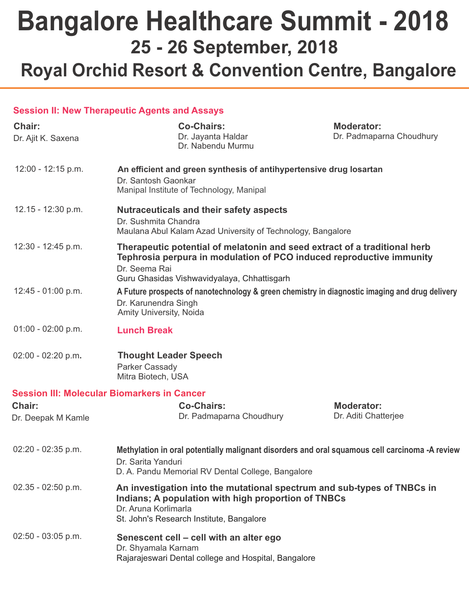**Royal Orchid Resort & Convention Centre, Bangalore**

#### **Session II: New Therapeutic Agents and Assays**

| Chair:<br>Dr. Ajit K. Saxena                       | <b>Co-Chairs:</b><br>Dr. Jayanta Haldar<br>Dr. Nabendu Murmu                                                                                                                                                      | <b>Moderator:</b><br>Dr. Padmaparna Choudhury |
|----------------------------------------------------|-------------------------------------------------------------------------------------------------------------------------------------------------------------------------------------------------------------------|-----------------------------------------------|
| $12:00 - 12:15 p.m.$                               | An efficient and green synthesis of antihypertensive drug losartan<br>Dr. Santosh Gaonkar<br>Manipal Institute of Technology, Manipal                                                                             |                                               |
| 12.15 - 12:30 p.m.                                 | <b>Nutraceuticals and their safety aspects</b><br>Dr. Sushmita Chandra<br>Maulana Abul Kalam Azad University of Technology, Bangalore                                                                             |                                               |
| 12:30 - 12:45 p.m.                                 | Therapeutic potential of melatonin and seed extract of a traditional herb<br>Tephrosia perpura in modulation of PCO induced reproductive immunity<br>Dr. Seema Rai<br>Guru Ghasidas Vishwavidyalaya, Chhattisgarh |                                               |
| $12:45 - 01:00 p.m.$                               | A Future prospects of nanotechnology & green chemistry in diagnostic imaging and drug delivery<br>Dr. Karunendra Singh<br>Amity University, Noida                                                                 |                                               |
| $01:00 - 02:00 p.m.$                               | <b>Lunch Break</b>                                                                                                                                                                                                |                                               |
| $02:00 - 02:20 p.m.$                               | <b>Thought Leader Speech</b><br>Parker Cassady<br>Mitra Biotech, USA                                                                                                                                              |                                               |
| <b>Session III: Molecular Biomarkers in Cancer</b> |                                                                                                                                                                                                                   |                                               |
| Chair:<br>Dr. Deepak M Kamle                       | <b>Co-Chairs:</b><br>Dr. Padmaparna Choudhury                                                                                                                                                                     | <b>Moderator:</b><br>Dr. Aditi Chatterjee     |
| $02:20 - 02:35 p.m.$                               | Methylation in oral potentially malignant disorders and oral squamous cell carcinoma -A review<br>Dr. Sarita Yanduri<br>D. A. Pandu Memorial RV Dental College, Bangalore                                         |                                               |
| $02.35 - 02:50$ p.m.                               | An investigation into the mutational spectrum and sub-types of TNBCs in<br>Indians; A population with high proportion of TNBCs<br>Dr. Aruna Korlimarla<br>St. John's Research Institute, Bangalore                |                                               |
| $02:50 - 03:05$ p.m.                               | Senescent cell – cell with an alter ego<br>Dr. Shyamala Karnam<br>Rajarajeswari Dental college and Hospital, Bangalore                                                                                            |                                               |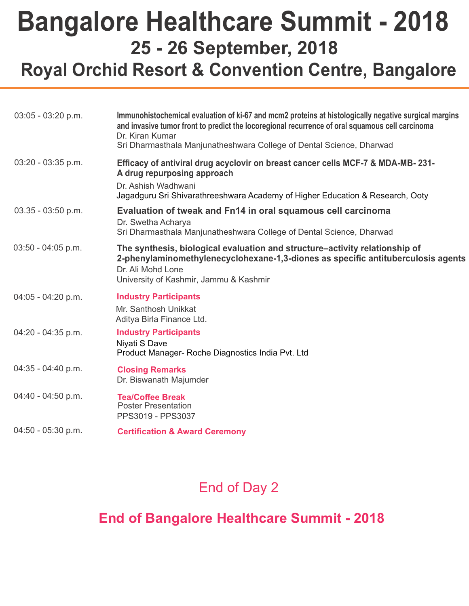**Royal Orchid Resort & Convention Centre, Bangalore**

| $03:05 - 03:20$ p.m. | Immunohistochemical evaluation of ki-67 and mcm2 proteins at histologically negative surgical margins<br>and invasive tumor front to predict the locoregional recurrence of oral squamous cell carcinoma<br>Dr. Kiran Kumar<br>Sri Dharmasthala Manjunatheshwara College of Dental Science, Dharwad |
|----------------------|-----------------------------------------------------------------------------------------------------------------------------------------------------------------------------------------------------------------------------------------------------------------------------------------------------|
| $03:20 - 03:35$ p.m. | Efficacy of antiviral drug acyclovir on breast cancer cells MCF-7 & MDA-MB-231-<br>A drug repurposing approach<br>Dr. Ashish Wadhwani<br>Jagadguru Sri Shivarathreeshwara Academy of Higher Education & Research, Ooty                                                                              |
| $03.35 - 03:50$ p.m. | Evaluation of tweak and Fn14 in oral squamous cell carcinoma<br>Dr. Swetha Acharya<br>Sri Dharmasthala Manjunatheshwara College of Dental Science, Dharwad                                                                                                                                          |
| $03:50 - 04:05 p.m.$ | The synthesis, biological evaluation and structure–activity relationship of<br>2-phenylaminomethylenecyclohexane-1,3-diones as specific antituberculosis agents<br>Dr. Ali Mohd Lone<br>University of Kashmir, Jammu & Kashmir                                                                      |
| $04:05 - 04:20 p.m.$ | <b>Industry Participants</b><br>Mr. Santhosh Unikkat<br>Aditya Birla Finance Ltd.                                                                                                                                                                                                                   |
| 04:20 - 04:35 p.m.   | <b>Industry Participants</b><br>Niyati S Dave<br>Product Manager- Roche Diagnostics India Pvt. Ltd                                                                                                                                                                                                  |
| $04:35 - 04:40 p.m.$ | <b>Closing Remarks</b><br>Dr. Biswanath Majumder                                                                                                                                                                                                                                                    |
| $04:40 - 04:50 p.m.$ | <b>Tea/Coffee Break</b><br><b>Poster Presentation</b><br>PPS3019 - PPS3037                                                                                                                                                                                                                          |
| 04:50 - 05:30 p.m.   | <b>Certification &amp; Award Ceremony</b>                                                                                                                                                                                                                                                           |

#### End of Day 2

#### **End of Bangalore Healthcare Summit - 2018**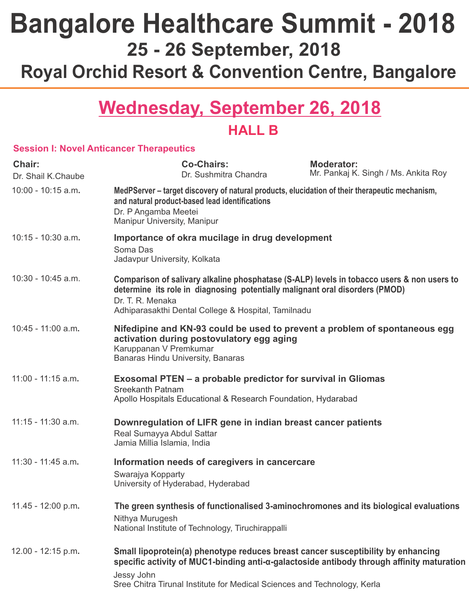**Royal Orchid Resort & Convention Centre, Bangalore**

### **Wednesday, September 26, 2018**

**HALL B**

#### **Session I: Novel Anticancer Therapeutics**

| Chair:<br>Dr. Shail K.Chaube |                                                             | <b>Co-Chairs:</b><br>Dr. Sushmitra Chandra                                                                                          | <b>Moderator:</b><br>Mr. Pankaj K. Singh / Ms. Ankita Roy                                                                                                                              |
|------------------------------|-------------------------------------------------------------|-------------------------------------------------------------------------------------------------------------------------------------|----------------------------------------------------------------------------------------------------------------------------------------------------------------------------------------|
| 10:00 - 10:15 a.m.           | Dr. P Angamba Meetei<br>Manipur University, Manipur         | and natural product-based lead identifications                                                                                      | MedPServer – target discovery of natural products, elucidation of their therapeutic mechanism,                                                                                         |
| $10:15 - 10:30$ a.m.         | Soma Das<br>Jadavpur University, Kolkata                    | Importance of okra mucilage in drug development                                                                                     |                                                                                                                                                                                        |
| 10:30 - 10:45 a.m.           | Dr. T. R. Menaka                                            | determine its role in diagnosing potentially malignant oral disorders (PMOD)<br>Adhiparasakthi Dental College & Hospital, Tamilnadu | Comparison of salivary alkaline phosphatase (S-ALP) levels in tobacco users & non users to                                                                                             |
| $10:45 - 11:00$ a.m.         | Karuppanan V Premkumar<br>Banaras Hindu University, Banaras | activation during postovulatory egg aging                                                                                           | Nifedipine and KN-93 could be used to prevent a problem of spontaneous egg                                                                                                             |
| $11:00 - 11:15$ a.m.         | <b>Sreekanth Patnam</b>                                     | Exosomal PTEN – a probable predictor for survival in Gliomas<br>Apollo Hospitals Educational & Research Foundation, Hydarabad       |                                                                                                                                                                                        |
| $11:15 - 11:30$ a.m.         | Real Sumayya Abdul Sattar<br>Jamia Millia Islamia, India    | Downregulation of LIFR gene in indian breast cancer patients                                                                        |                                                                                                                                                                                        |
| $11:30 - 11:45$ a.m.         | Swarajya Kopparty                                           | Information needs of caregivers in cancercare<br>University of Hyderabad, Hyderabad                                                 |                                                                                                                                                                                        |
| 11.45 - 12:00 p.m.           | Nithya Murugesh                                             | National Institute of Technology, Tiruchirappalli                                                                                   | The green synthesis of functionalised 3-aminochromones and its biological evaluations                                                                                                  |
| $12.00 - 12:15 p.m.$         | Jessy John                                                  | Sree Chitra Tirunal Institute for Medical Sciences and Technology, Kerla                                                            | Small lipoprotein(a) phenotype reduces breast cancer susceptibility by enhancing<br>specific activity of MUC1-binding anti- $\alpha$ -galactoside antibody through affinity maturation |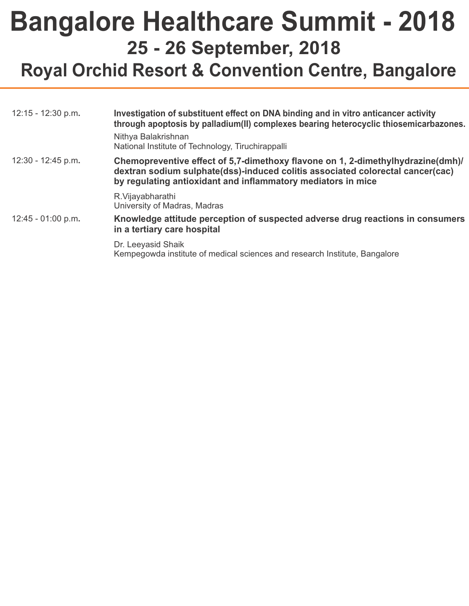#### **Royal Orchid Resort & Convention Centre, Bangalore**

| $12:15 - 12:30$ p.m. | Investigation of substituent effect on DNA binding and in vitro anticancer activity<br>through apoptosis by palladium(II) complexes bearing heterocyclic thiosemicarbazones.                                                      |  |  |
|----------------------|-----------------------------------------------------------------------------------------------------------------------------------------------------------------------------------------------------------------------------------|--|--|
|                      | Nithya Balakrishnan<br>National Institute of Technology, Tiruchirappalli                                                                                                                                                          |  |  |
| $12:30 - 12:45 p.m.$ | Chemopreventive effect of 5,7-dimethoxy flavone on 1, 2-dimethylhydrazine(dmh)/<br>dextran sodium sulphate(dss)-induced colitis associated colorectal cancer(cac)<br>by regulating antioxidant and inflammatory mediators in mice |  |  |
|                      | R. Vijayabharathi<br>University of Madras, Madras                                                                                                                                                                                 |  |  |
| $12:45 - 01:00 p.m.$ | Knowledge attitude perception of suspected adverse drug reactions in consumers<br>in a tertiary care hospital                                                                                                                     |  |  |
|                      | Dr. Leeyasid Shaik<br>Kempegowda institute of medical sciences and research Institute, Bangalore                                                                                                                                  |  |  |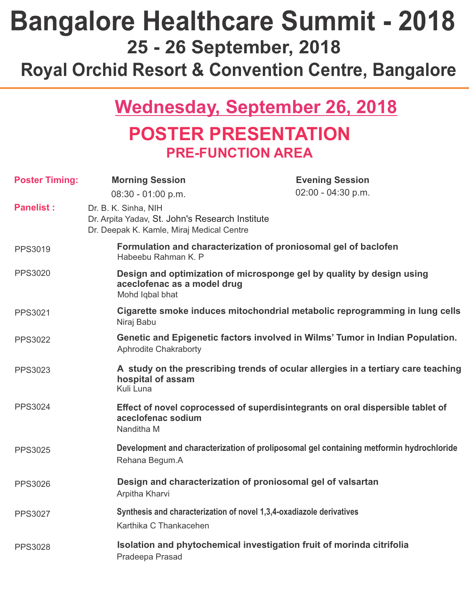# **Bangalore Healthcare Summit - 2018**

**25 - 26 September, 2018**

**Royal Orchid Resort & Convention Centre, Bangalore**

### **POSTER PRESENTATION Wednesday, September 26, 2018 PRE-FUNCTION AREA**

| <b>Poster Timing:</b> | <b>Morning Session</b><br>$08:30 - 01:00 p.m.$                                                                       | <b>Evening Session</b><br>$02:00 - 04:30 p.m.$                                                       |  |  |
|-----------------------|----------------------------------------------------------------------------------------------------------------------|------------------------------------------------------------------------------------------------------|--|--|
| <b>Panelist:</b>      | Dr. B. K. Sinha, NIH<br>Dr. Arpita Yadav, St. John's Research Institute<br>Dr. Deepak K. Kamle, Miraj Medical Centre |                                                                                                      |  |  |
| PPS3019               | Habeebu Rahman K. P                                                                                                  | Formulation and characterization of proniosomal gel of baclofen                                      |  |  |
| <b>PPS3020</b>        | Mohd Iqbal bhat                                                                                                      | Design and optimization of microsponge gel by quality by design using<br>aceclofenac as a model drug |  |  |
| PPS3021               | Niraj Babu                                                                                                           | Cigarette smoke induces mitochondrial metabolic reprogramming in lung cells                          |  |  |
| <b>PPS3022</b>        | <b>Aphrodite Chakraborty</b>                                                                                         | Genetic and Epigenetic factors involved in Wilms' Tumor in Indian Population.                        |  |  |
| PPS3023               | hospital of assam<br>Kuli Luna                                                                                       | A study on the prescribing trends of ocular allergies in a tertiary care teaching                    |  |  |
| <b>PPS3024</b>        | aceclofenac sodium<br>Nanditha M                                                                                     | Effect of novel coprocessed of superdisintegrants on oral dispersible tablet of                      |  |  |
| <b>PPS3025</b>        | Rehana Begum.A                                                                                                       | Development and characterization of proliposomal gel containing metformin hydrochloride              |  |  |
| <b>PPS3026</b>        | Arpitha Kharvi                                                                                                       | Design and characterization of proniosomal gel of valsartan                                          |  |  |
| <b>PPS3027</b>        | Synthesis and characterization of novel 1,3,4-oxadiazole derivatives<br>Karthika C Thankacehen                       |                                                                                                      |  |  |
| <b>PPS3028</b>        | Pradeepa Prasad                                                                                                      | Isolation and phytochemical investigation fruit of morinda citrifolia                                |  |  |